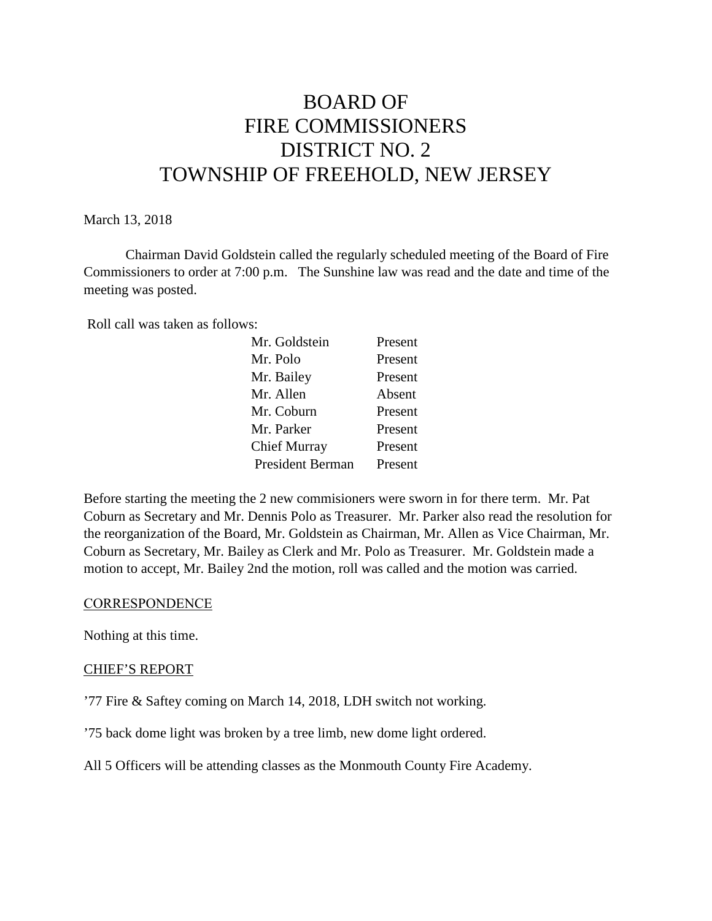# BOARD OF FIRE COMMISSIONERS DISTRICT NO. 2 TOWNSHIP OF FREEHOLD, NEW JERSEY

#### March 13, 2018

Chairman David Goldstein called the regularly scheduled meeting of the Board of Fire Commissioners to order at 7:00 p.m. The Sunshine law was read and the date and time of the meeting was posted.

Roll call was taken as follows:

| Mr. Goldstein           | Present |
|-------------------------|---------|
| Mr. Polo                | Present |
| Mr. Bailey              | Present |
| Mr. Allen               | Absent  |
| Mr. Coburn              | Present |
| Mr. Parker              | Present |
| Chief Murray            | Present |
| <b>President Berman</b> | Present |

Before starting the meeting the 2 new commisioners were sworn in for there term. Mr. Pat Coburn as Secretary and Mr. Dennis Polo as Treasurer. Mr. Parker also read the resolution for the reorganization of the Board, Mr. Goldstein as Chairman, Mr. Allen as Vice Chairman, Mr. Coburn as Secretary, Mr. Bailey as Clerk and Mr. Polo as Treasurer. Mr. Goldstein made a motion to accept, Mr. Bailey 2nd the motion, roll was called and the motion was carried.

#### **CORRESPONDENCE**

Nothing at this time.

## CHIEF'S REPORT

'77 Fire & Saftey coming on March 14, 2018, LDH switch not working.

'75 back dome light was broken by a tree limb, new dome light ordered.

All 5 Officers will be attending classes as the Monmouth County Fire Academy.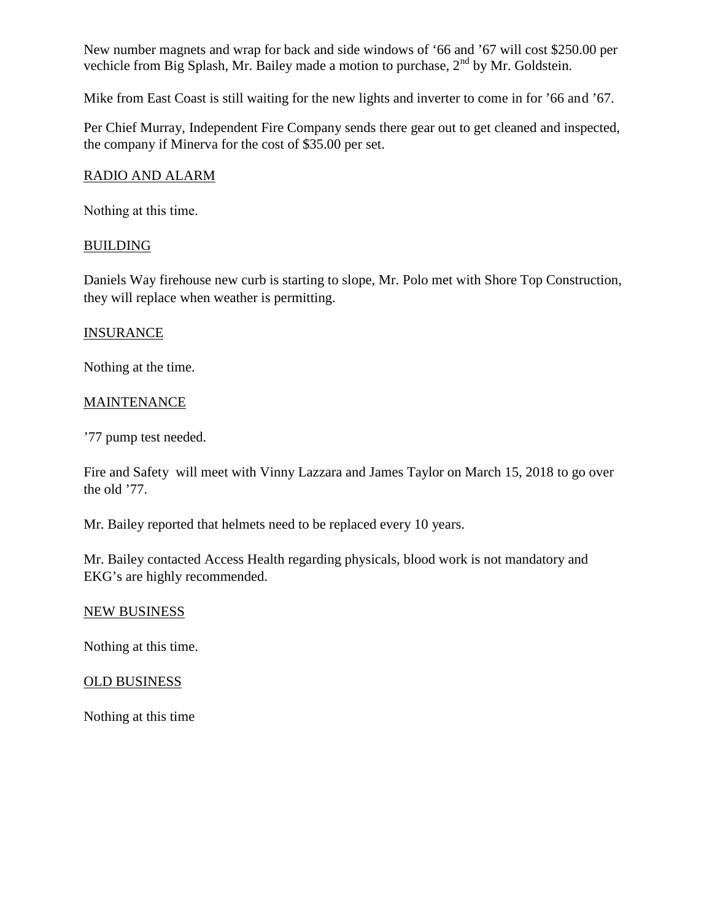New number magnets and wrap for back and side windows of '66 and '67 will cost \$250.00 per vechicle from Big Splash, Mr. Bailey made a motion to purchase,  $2<sup>nd</sup>$  by Mr. Goldstein.

Mike from East Coast is still waiting for the new lights and inverter to come in for '66 and '67.

Per Chief Murray, Independent Fire Company sends there gear out to get cleaned and inspected, the company if Minerva for the cost of \$35.00 per set.

## RADIO AND ALARM

Nothing at this time.

## BUILDING

Daniels Way firehouse new curb is starting to slope, Mr. Polo met with Shore Top Construction, they will replace when weather is permitting.

## INSURANCE

Nothing at the time.

## **MAINTENANCE**

'77 pump test needed.

Fire and Safety will meet with Vinny Lazzara and James Taylor on March 15, 2018 to go over the old '77.

Mr. Bailey reported that helmets need to be replaced every 10 years.

Mr. Bailey contacted Access Health regarding physicals, blood work is not mandatory and EKG's are highly recommended.

#### NEW BUSINESS

Nothing at this time.

#### OLD BUSINESS

Nothing at this time